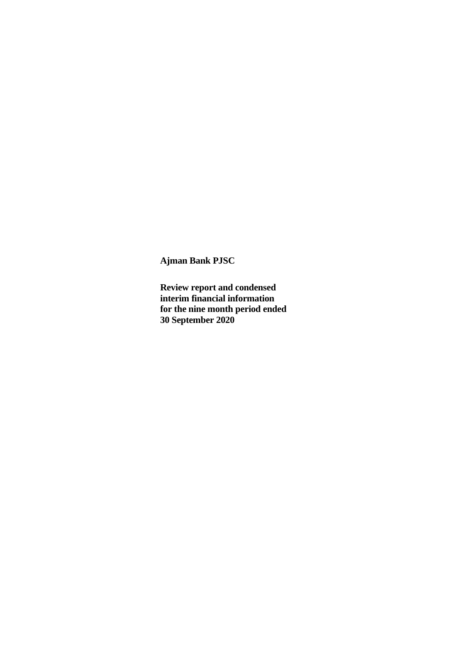**Review report and condensed interim financial information for the nine month period ended 30 September 2020**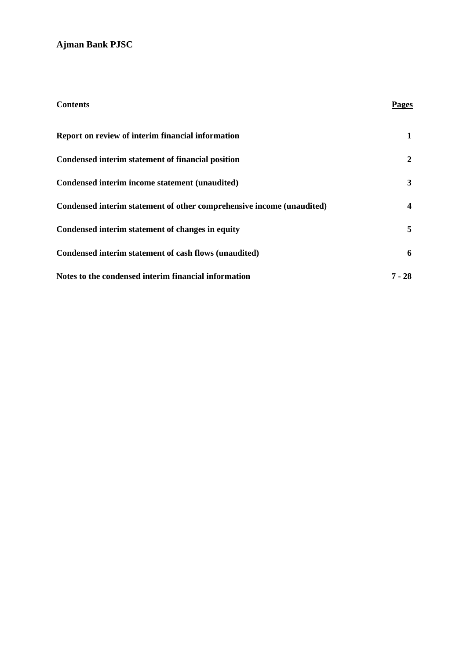| <b>Contents</b>                                                       | Pages                   |
|-----------------------------------------------------------------------|-------------------------|
| Report on review of interim financial information                     | 1                       |
| Condensed interim statement of financial position                     | 2                       |
| Condensed interim income statement (unaudited)                        | 3                       |
| Condensed interim statement of other comprehensive income (unaudited) | $\overline{\mathbf{4}}$ |
| Condensed interim statement of changes in equity                      | 5                       |
| Condensed interim statement of cash flows (unaudited)                 | 6                       |
| Notes to the condensed interim financial information                  | $7 - 28$                |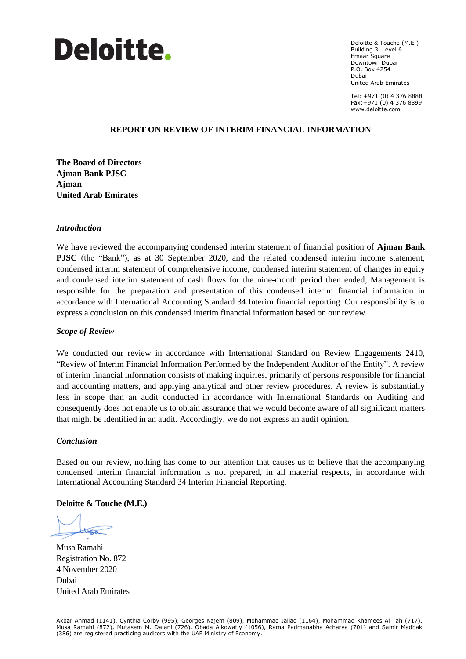

Deloitte & Touche (M.E.) Building 3, Level 6 Emaar Square Downtown Dubai P.O. Box 4254 Dubai United Arab Emirates

Tel: +971 (0) 4 376 8888 Fax:+971 (0) 4 376 8899 www.deloitte.com

#### August 17th, 2016 **REPORT ON REVIEW OF INTERIM FINANCIAL INFORMATION**

**The Board of Directors Ajman Bank PJSC Ajman United Arab Emirates**

#### *Introduction*

We have reviewed the accompanying condensed interim statement of financial position of **Ajman Bank PJSC** (the "Bank"), as at 30 September 2020, and the related condensed interim income statement, condensed interim statement of comprehensive income, condensed interim statement of changes in equity and condensed interim statement of cash flows for the nine-month period then ended, Management is responsible for the preparation and presentation of this condensed interim financial information in accordance with International Accounting Standard 34 Interim financial reporting. Our responsibility is to express a conclusion on this condensed interim financial information based on our review.

#### *Scope of Review*

We conducted our review in accordance with International Standard on Review Engagements 2410, "Review of Interim Financial Information Performed by the Independent Auditor of the Entity". A review of interim financial information consists of making inquiries, primarily of persons responsible for financial and accounting matters, and applying analytical and other review procedures. A review is substantially less in scope than an audit conducted in accordance with International Standards on Auditing and consequently does not enable us to obtain assurance that we would become aware of all significant matters that might be identified in an audit. Accordingly, we do not express an audit opinion.

#### *Conclusion*

Based on our review, nothing has come to our attention that causes us to believe that the accompanying condensed interim financial information is not prepared, in all material respects, in accordance with International Accounting Standard 34 Interim Financial Reporting.

#### **Deloitte & Touche (M.E.)**

thea

Musa Ramahi Registration No. 872 4 November 2020 Dubai United Arab Emirates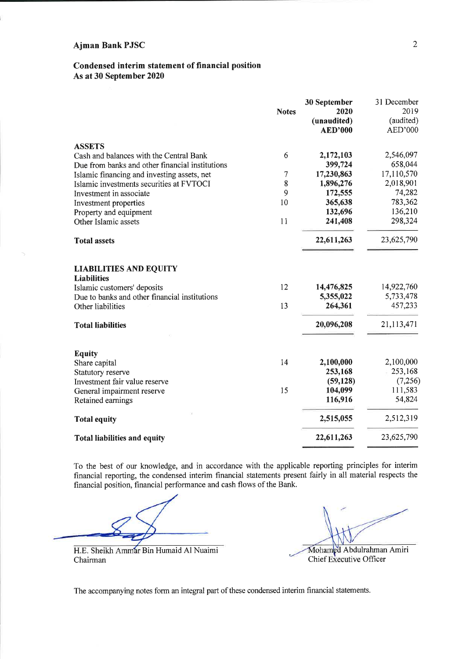### Condensed interim statement of financial position As at 30 September 2020

|                                                                                                                                     | <b>Notes</b> | 30 September<br>2020<br>(unaudited)<br><b>AED'000</b> | 31 December<br>2019<br>(audited)<br>AED'000 |
|-------------------------------------------------------------------------------------------------------------------------------------|--------------|-------------------------------------------------------|---------------------------------------------|
| <b>ASSETS</b>                                                                                                                       |              |                                                       |                                             |
| Cash and balances with the Central Bank                                                                                             | 6            | 2,172,103                                             | 2,546,097                                   |
| Due from banks and other financial institutions                                                                                     |              | 399,724                                               | 658,044                                     |
| Islamic financing and investing assets, net                                                                                         | 7            | 17,230,863                                            | 17,110,570                                  |
| Islamic investments securities at FVTOCI                                                                                            | 8            | 1,896,276                                             | 2,018,901                                   |
| Investment in associate                                                                                                             | 9            | 172,555                                               | 74,282                                      |
| Investment properties                                                                                                               | 10           | 365,638                                               | 783,362                                     |
| Property and equipment                                                                                                              |              | 132,696                                               | 136,210                                     |
| Other Islamic assets                                                                                                                | 11           | 241,408                                               | 298,324                                     |
| <b>Total assets</b>                                                                                                                 |              | 22,611,263                                            | 23,625,790                                  |
| <b>LIABILITIES AND EQUITY</b><br><b>Liabilities</b><br>Islamic customers' deposits<br>Due to banks and other financial institutions | 12           | 14,476,825<br>5,355,022                               | 14,922,760<br>5,733,478                     |
| Other liabilities                                                                                                                   | 13           | 264,361                                               | 457,233                                     |
| <b>Total liabilities</b>                                                                                                            |              | 20,096,208                                            | 21,113,471                                  |
| <b>Equity</b>                                                                                                                       | 14           | 2,100,000                                             | 2,100,000                                   |
| Share capital<br>Statutory reserve                                                                                                  |              | 253,168                                               | 253,168                                     |
| Investment fair value reserve                                                                                                       |              | (59, 128)                                             | (7, 256)                                    |
| General impairment reserve                                                                                                          | 15           | 104,099                                               | 111,583                                     |
| Retained earnings                                                                                                                   |              | 116,916                                               | 54,824                                      |
| <b>Total equity</b>                                                                                                                 |              | 2,515,055                                             | 2,512,319                                   |
| <b>Total liabilities and equity</b>                                                                                                 |              | 22,611,263                                            | 23,625,790                                  |

To the best of our knowledge, and in accordance with the applicable reporting principles for interim financial reporting, the condensed interim financial statements present fairly in all material respects the financial position, financial performance and cash flows of the Bank.

H.E. Sheikh Ammar Bin Humaid Al Nuaimi Chairman

Mohamed Abdulrahman Amiri Chief Executive Officer

The accompanying notes form an integral part of these condensed interim financial statements.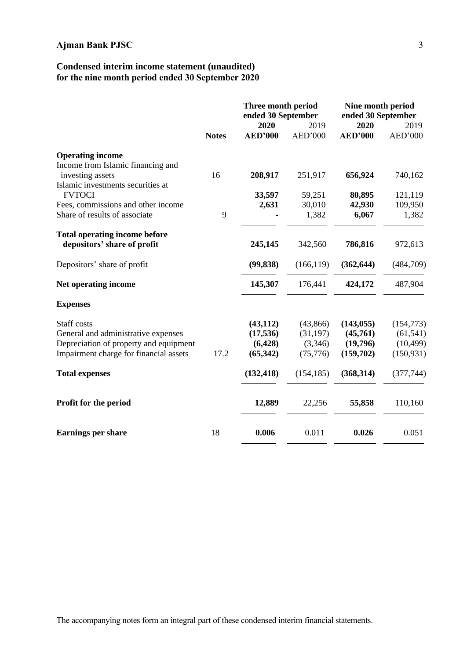### **Condensed interim income statement (unaudited) for the nine month period ended 30 September 2020**

|                                                       |              | Three month period<br>ended 30 September |                 | Nine month period<br>ended 30 September |                 |
|-------------------------------------------------------|--------------|------------------------------------------|-----------------|-----------------------------------------|-----------------|
|                                                       | <b>Notes</b> | 2020<br><b>AED'000</b>                   | 2019<br>AED'000 | 2020<br><b>AED'000</b>                  | 2019<br>AED'000 |
| <b>Operating income</b>                               |              |                                          |                 |                                         |                 |
| Income from Islamic financing and                     |              |                                          |                 |                                         |                 |
| investing assets<br>Islamic investments securities at | 16           | 208,917                                  | 251,917         | 656,924                                 | 740,162         |
| <b>FVTOCI</b>                                         |              | 33,597                                   | 59,251          | 80,895                                  | 121,119         |
| Fees, commissions and other income                    |              | 2,631                                    | 30,010          | 42,930                                  | 109,950         |
| Share of results of associate                         | 9            |                                          | 1,382           | 6,067                                   | 1,382           |
| <b>Total operating income before</b>                  |              |                                          |                 |                                         |                 |
| depositors' share of profit                           |              | 245,145                                  | 342,560         | 786,816                                 | 972,613         |
| Depositors' share of profit                           |              | (99, 838)                                | (166, 119)      | (362, 644)                              | (484,709)       |
| Net operating income                                  |              | 145,307                                  | 176,441         | 424,172                                 | 487,904         |
| <b>Expenses</b>                                       |              |                                          |                 |                                         |                 |
| Staff costs                                           |              | (43, 112)                                | (43, 866)       | (143, 055)                              | (154, 773)      |
| General and administrative expenses                   |              | (17, 536)                                | (31, 197)       | (45,761)                                | (61, 541)       |
| Depreciation of property and equipment                |              | (6,428)                                  | (3,346)         | (19,796)                                | (10, 499)       |
| Impairment charge for financial assets                | 17.2         | (65, 342)                                | (75, 776)       | (159,702)                               | (150, 931)      |
| <b>Total expenses</b>                                 |              | (132, 418)                               | (154, 185)      | (368, 314)                              | (377,744)       |
| Profit for the period                                 |              | 12,889                                   | 22,256          | 55,858                                  | 110,160         |
|                                                       |              |                                          |                 |                                         |                 |
| <b>Earnings per share</b>                             | 18           | 0.006                                    | 0.011           | 0.026                                   | 0.051           |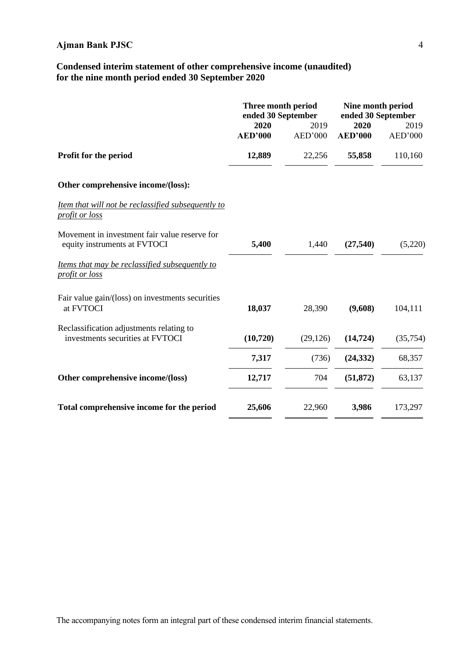### **Condensed interim statement of other comprehensive income (unaudited) for the nine month period ended 30 September 2020**

|                                                                               | Three month period<br>ended 30 September<br>2020 | 2019      | Nine month period<br>ended 30 September<br>2020<br>2019 |           |  |
|-------------------------------------------------------------------------------|--------------------------------------------------|-----------|---------------------------------------------------------|-----------|--|
|                                                                               | <b>AED'000</b>                                   | AED'000   | <b>AED'000</b>                                          | AED'000   |  |
| Profit for the period                                                         | 12,889                                           | 22,256    | 55,858                                                  | 110,160   |  |
| Other comprehensive income/(loss):                                            |                                                  |           |                                                         |           |  |
| Item that will not be reclassified subsequently to<br>profit or loss          |                                                  |           |                                                         |           |  |
| Movement in investment fair value reserve for<br>equity instruments at FVTOCI | 5,400                                            | 1,440     | (27,540)                                                | (5,220)   |  |
| Items that may be reclassified subsequently to<br>profit or loss              |                                                  |           |                                                         |           |  |
| Fair value gain/(loss) on investments securities<br>at FVTOCI                 | 18,037                                           | 28,390    | (9,608)                                                 | 104,111   |  |
| Reclassification adjustments relating to<br>investments securities at FVTOCI  | (10, 720)                                        | (29, 126) | (14, 724)                                               | (35, 754) |  |
|                                                                               | 7,317                                            | (736)     | (24, 332)                                               | 68,357    |  |
| Other comprehensive income/(loss)                                             | 12,717                                           | 704       | (51, 872)                                               | 63,137    |  |
| Total comprehensive income for the period                                     | 25,606                                           | 22,960    | 3,986                                                   | 173,297   |  |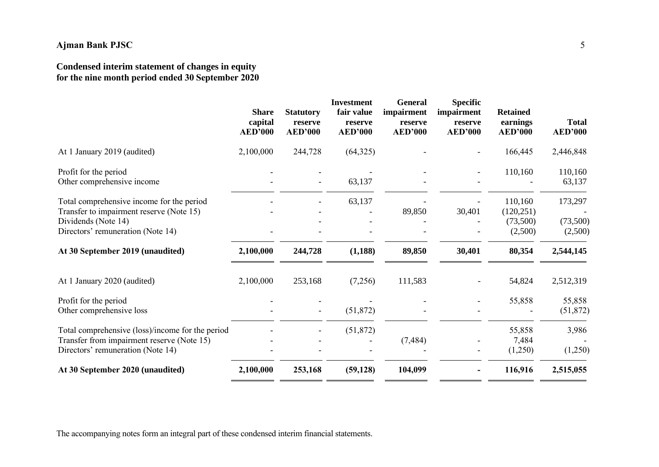## **Condensed interim statement of changes in equity for the nine month period ended 30 September 2020**

| 2,100,000<br>244,728<br>(64,325)<br>166,445<br>At 1 January 2019 (audited)<br>110,160<br>Profit for the period<br>Other comprehensive income<br>63,137<br>Total comprehensive income for the period<br>63,137<br>110,160<br>Transfer to impairment reserve (Note 15)<br>89,850<br>30,401<br>(120, 251)<br>Dividends (Note 14)<br>(73,500)<br>Directors' remuneration (Note 14)<br>(2,500)<br>(1, 188)<br>80,354<br>At 30 September 2019 (unaudited)<br>2,100,000<br>244,728<br>89,850<br>30,401<br>253,168<br>(7,256)<br>At 1 January 2020 (audited)<br>2,100,000<br>111,583<br>54,824<br>Profit for the period<br>55,858<br>Other comprehensive loss<br>(51, 872)<br>(51, 872)<br>Total comprehensive (loss)/income for the period<br>55,858<br>Transfer from impairment reserve (Note 15)<br>(7, 484)<br>7,484<br>Directors' remuneration (Note 14)<br>(1,250) |                                  | <b>Share</b><br>capital<br><b>AED'000</b> | <b>Statutory</b><br>reserve<br><b>AED'000</b> | <b>Investment</b><br>fair value<br>reserve<br><b>AED'000</b> | <b>General</b><br>impairment<br>reserve<br><b>AED'000</b> | <b>Specific</b><br>impairment<br>reserve<br><b>AED'000</b> | <b>Retained</b><br>earnings<br><b>AED'000</b> | <b>Total</b><br><b>AED'000</b> |
|------------------------------------------------------------------------------------------------------------------------------------------------------------------------------------------------------------------------------------------------------------------------------------------------------------------------------------------------------------------------------------------------------------------------------------------------------------------------------------------------------------------------------------------------------------------------------------------------------------------------------------------------------------------------------------------------------------------------------------------------------------------------------------------------------------------------------------------------------------------|----------------------------------|-------------------------------------------|-----------------------------------------------|--------------------------------------------------------------|-----------------------------------------------------------|------------------------------------------------------------|-----------------------------------------------|--------------------------------|
|                                                                                                                                                                                                                                                                                                                                                                                                                                                                                                                                                                                                                                                                                                                                                                                                                                                                  |                                  |                                           |                                               |                                                              |                                                           |                                                            |                                               | 2,446,848                      |
|                                                                                                                                                                                                                                                                                                                                                                                                                                                                                                                                                                                                                                                                                                                                                                                                                                                                  |                                  |                                           |                                               |                                                              |                                                           |                                                            |                                               | 110,160<br>63,137              |
|                                                                                                                                                                                                                                                                                                                                                                                                                                                                                                                                                                                                                                                                                                                                                                                                                                                                  |                                  |                                           |                                               |                                                              |                                                           |                                                            |                                               | 173,297<br>(73,500)<br>(2,500) |
|                                                                                                                                                                                                                                                                                                                                                                                                                                                                                                                                                                                                                                                                                                                                                                                                                                                                  |                                  |                                           |                                               |                                                              |                                                           |                                                            |                                               | 2,544,145                      |
|                                                                                                                                                                                                                                                                                                                                                                                                                                                                                                                                                                                                                                                                                                                                                                                                                                                                  |                                  |                                           |                                               |                                                              |                                                           |                                                            |                                               | 2,512,319                      |
|                                                                                                                                                                                                                                                                                                                                                                                                                                                                                                                                                                                                                                                                                                                                                                                                                                                                  |                                  |                                           |                                               |                                                              |                                                           |                                                            |                                               | 55,858<br>(51, 872)            |
|                                                                                                                                                                                                                                                                                                                                                                                                                                                                                                                                                                                                                                                                                                                                                                                                                                                                  |                                  |                                           |                                               |                                                              |                                                           |                                                            |                                               | 3,986<br>(1,250)               |
|                                                                                                                                                                                                                                                                                                                                                                                                                                                                                                                                                                                                                                                                                                                                                                                                                                                                  | At 30 September 2020 (unaudited) | 2,100,000                                 | 253,168                                       | (59, 128)                                                    | 104,099                                                   |                                                            | 116,916                                       | 2,515,055                      |

The accompanying notes form an integral part of these condensed interim financial statements.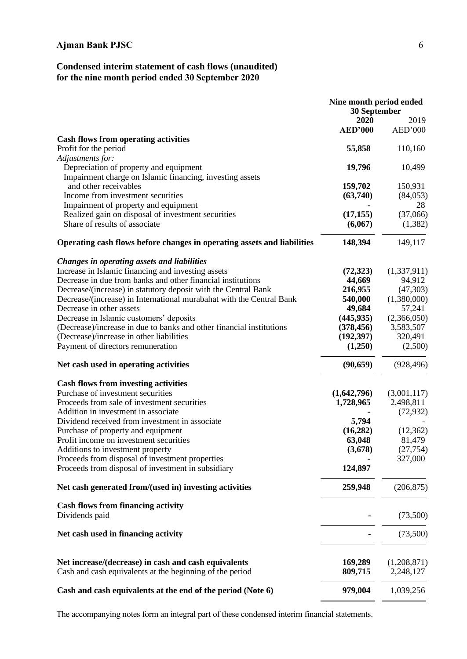### **Condensed interim statement of cash flows (unaudited) for the nine month period ended 30 September 2020**

|                                                                                                                  | Nine month period ended<br>30 September |                          |
|------------------------------------------------------------------------------------------------------------------|-----------------------------------------|--------------------------|
|                                                                                                                  | 2020                                    | 2019                     |
|                                                                                                                  | <b>AED'000</b>                          | AED'000                  |
| <b>Cash flows from operating activities</b>                                                                      |                                         |                          |
| Profit for the period                                                                                            | 55,858                                  | 110,160                  |
| Adjustments for:                                                                                                 | 19,796                                  |                          |
| Depreciation of property and equipment<br>Impairment charge on Islamic financing, investing assets               |                                         | 10,499                   |
| and other receivables                                                                                            | 159,702                                 | 150,931                  |
| Income from investment securities                                                                                | (63,740)                                | (84,053)                 |
| Impairment of property and equipment                                                                             |                                         | 28                       |
| Realized gain on disposal of investment securities                                                               | (17, 155)                               | (37,066)                 |
| Share of results of associate                                                                                    | (6,067)                                 | (1,382)                  |
|                                                                                                                  |                                         |                          |
| Operating cash flows before changes in operating assets and liabilities                                          | 148,394                                 | 149,117                  |
| Changes in operating assets and liabilities                                                                      |                                         |                          |
| Increase in Islamic financing and investing assets                                                               | (72, 323)                               | (1,337,911)              |
| Decrease in due from banks and other financial institutions                                                      | 44,669                                  | 94,912                   |
| Decrease/(increase) in statutory deposit with the Central Bank                                                   | 216,955                                 | (47,303)                 |
| Decrease/(increase) in International murabahat with the Central Bank                                             | 540,000                                 | (1,380,000)              |
| Decrease in other assets                                                                                         | 49,684                                  | 57,241                   |
| Decrease in Islamic customers' deposits                                                                          | (445, 935)                              | (2,366,050)              |
| (Decrease)/increase in due to banks and other financial institutions                                             | (378, 456)                              | 3,583,507                |
| (Decrease)/increase in other liabilities                                                                         | (192, 397)                              | 320,491                  |
| Payment of directors remuneration                                                                                | (1,250)                                 | (2,500)                  |
| Net cash used in operating activities                                                                            | (90, 659)                               | (928, 496)               |
| <b>Cash flows from investing activities</b>                                                                      |                                         |                          |
| Purchase of investment securities                                                                                | (1,642,796)                             | (3,001,117)              |
| Proceeds from sale of investment securities                                                                      | 1,728,965                               | 2,498,811                |
| Addition in investment in associate                                                                              |                                         | (72, 932)                |
| Dividend received from investment in associate                                                                   | 5,794                                   |                          |
| Purchase of property and equipment                                                                               | (16, 282)                               | (12, 362)                |
| Profit income on investment securities                                                                           | 63,048                                  | 81,479                   |
| Additions to investment property                                                                                 | (3,678)                                 | (27, 754)                |
| Proceeds from disposal of investment properties                                                                  |                                         | 327,000                  |
| Proceeds from disposal of investment in subsidiary                                                               | 124,897                                 |                          |
| Net cash generated from/(used in) investing activities                                                           | 259,948                                 | (206, 875)               |
| <b>Cash flows from financing activity</b>                                                                        |                                         |                          |
| Dividends paid                                                                                                   |                                         | (73,500)                 |
| Net cash used in financing activity                                                                              |                                         | (73,500)                 |
| Net increase/(decrease) in cash and cash equivalents<br>Cash and cash equivalents at the beginning of the period | 169,289<br>809,715                      | (1,208,871)<br>2,248,127 |
| Cash and cash equivalents at the end of the period (Note 6)                                                      | 979,004                                 | 1,039,256                |

The accompanying notes form an integral part of these condensed interim financial statements.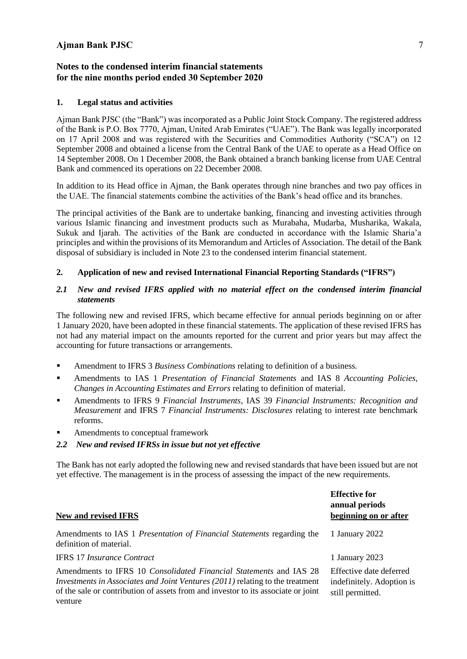#### **Notes to the condensed interim financial statements for the nine months period ended 30 September 2020**

#### **1. Legal status and activities**

Ajman Bank PJSC (the "Bank") was incorporated as a Public Joint Stock Company. The registered address of the Bank is P.O. Box 7770, Ajman, United Arab Emirates ("UAE"). The Bank was legally incorporated on 17 April 2008 and was registered with the Securities and Commodities Authority ("SCA") on 12 September 2008 and obtained a license from the Central Bank of the UAE to operate as a Head Office on 14 September 2008. On 1 December 2008, the Bank obtained a branch banking license from UAE Central Bank and commenced its operations on 22 December 2008.

In addition to its Head office in Ajman, the Bank operates through nine branches and two pay offices in the UAE. The financial statements combine the activities of the Bank's head office and its branches.

The principal activities of the Bank are to undertake banking, financing and investing activities through various Islamic financing and investment products such as Murabaha, Mudarba, Musharika, Wakala, Sukuk and Ijarah. The activities of the Bank are conducted in accordance with the Islamic Sharia'a principles and within the provisions of its Memorandum and Articles of Association. The detail of the Bank disposal of subsidiary is included in Note 23 to the condensed interim financial statement.

#### **2. Application of new and revised International Financial Reporting Standards ("IFRS")**

#### *2.1 New and revised IFRS applied with no material effect on the condensed interim financial statements*

The following new and revised IFRS, which became effective for annual periods beginning on or after 1 January 2020, have been adopted in these financial statements. The application of these revised IFRS has not had any material impact on the amounts reported for the current and prior years but may affect the accounting for future transactions or arrangements.

- Amendment to IFRS 3 *Business Combinations* relating to definition of a business.
- Amendments to IAS 1 *Presentation of Financial Statements* and IAS 8 *Accounting Policies, Changes in Accounting Estimates and Errors* relating to definition of material.
- Amendments to IFRS 9 *Financial Instruments*, IAS 39 *Financial Instruments: Recognition and Measurement* and IFRS 7 *Financial Instruments: Disclosures* relating to interest rate benchmark reforms.
- Amendments to conceptual framework

venture

#### *2.2 New and revised IFRSs in issue but not yet effective*

The Bank has not early adopted the following new and revised standards that have been issued but are not yet effective. The management is in the process of assessing the impact of the new requirements.

| <b>New and revised IFRS</b>                                                                                                                                                                                                                            | <b>Effective for</b><br>annual periods<br>beginning on or after          |
|--------------------------------------------------------------------------------------------------------------------------------------------------------------------------------------------------------------------------------------------------------|--------------------------------------------------------------------------|
| Amendments to IAS 1 Presentation of Financial Statements regarding the<br>definition of material.                                                                                                                                                      | 1 January 2022                                                           |
| <b>IFRS 17 Insurance Contract</b>                                                                                                                                                                                                                      | 1 January 2023                                                           |
| Amendments to IFRS 10 <i>Consolidated Financial Statements</i> and IAS 28<br><i>Investments in Associates and Joint Ventures (2011)</i> relating to the treatment<br>of the sale or contribution of assets from and investor to its associate or joint | Effective date deferred<br>indefinitely. Adoption is<br>still permitted. |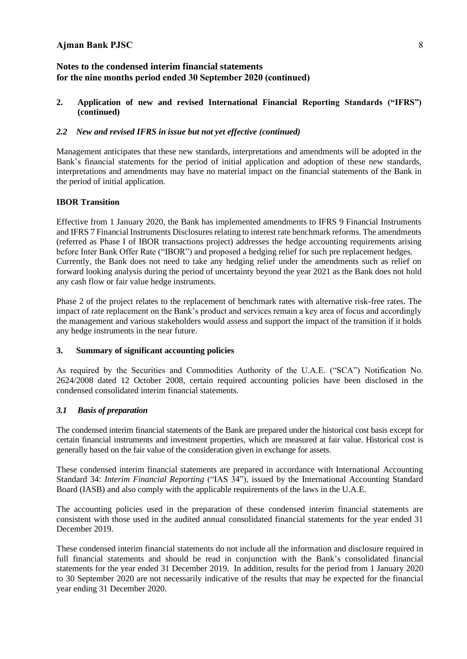### **Notes to the condensed interim financial statements for the nine months period ended 30 September 2020 (continued)**

#### **2. Application of new and revised International Financial Reporting Standards ("IFRS") (continued)**

### *2.2 New and revised IFRS in issue but not yet effective (continued)*

Management anticipates that these new standards, interpretations and amendments will be adopted in the Bank's financial statements for the period of initial application and adoption of these new standards, interpretations and amendments may have no material impact on the financial statements of the Bank in the period of initial application.

#### **IBOR Transition**

Effective from 1 January 2020, the Bank has implemented amendments to IFRS 9 Financial Instruments and IFRS 7 Financial Instruments Disclosures relating to interest rate benchmark reforms. The amendments (referred as Phase I of IBOR transactions project) addresses the hedge accounting requirements arising before Inter Bank Offer Rate ("IBOR") and proposed a hedging relief for such pre replacement hedges. Currently, the Bank does not need to take any hedging relief under the amendments such as relief on forward looking analysis during the period of uncertainty beyond the year 2021 as the Bank does not hold any cash flow or fair value hedge instruments.

Phase 2 of the project relates to the replacement of benchmark rates with alternative risk-free rates. The impact of rate replacement on the Bank's product and services remain a key area of focus and accordingly the management and various stakeholders would assess and support the impact of the transition if it holds any hedge instruments in the near future.

#### **3. Summary of significant accounting policies**

As required by the Securities and Commodities Authority of the U.A.E. ("SCA") Notification No. 2624/2008 dated 12 October 2008, certain required accounting policies have been disclosed in the condensed consolidated interim financial statements.

### *3.1 Basis of preparation*

The condensed interim financial statements of the Bank are prepared under the historical cost basis except for certain financial instruments and investment properties, which are measured at fair value. Historical cost is generally based on the fair value of the consideration given in exchange for assets.

These condensed interim financial statements are prepared in accordance with International Accounting Standard 34: *Interim Financial Reporting* ("IAS 34"), issued by the International Accounting Standard Board (IASB) and also comply with the applicable requirements of the laws in the U.A.E.

The accounting policies used in the preparation of these condensed interim financial statements are consistent with those used in the audited annual consolidated financial statements for the year ended 31 December 2019.

These condensed interim financial statements do not include all the information and disclosure required in full financial statements and should be read in conjunction with the Bank's consolidated financial statements for the year ended 31 December 2019. In addition, results for the period from 1 January 2020 to 30 September 2020 are not necessarily indicative of the results that may be expected for the financial year ending 31 December 2020.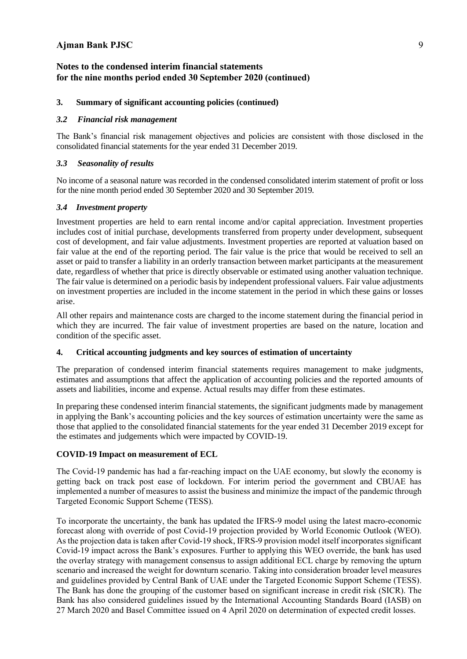### **Notes to the condensed interim financial statements for the nine months period ended 30 September 2020 (continued)**

### **3. Summary of significant accounting policies (continued)**

#### *3.2 Financial risk management*

The Bank's financial risk management objectives and policies are consistent with those disclosed in the consolidated financial statements for the year ended 31 December 2019.

### *3.3 Seasonality of results*

No income of a seasonal nature was recorded in the condensed consolidated interim statement of profit or loss for the nine month period ended 30 September 2020 and 30 September 2019.

#### *3.4 Investment property*

Investment properties are held to earn rental income and/or capital appreciation. Investment properties includes cost of initial purchase, developments transferred from property under development, subsequent cost of development, and fair value adjustments. Investment properties are reported at valuation based on fair value at the end of the reporting period. The fair value is the price that would be received to sell an asset or paid to transfer a liability in an orderly transaction between market participants at the measurement date, regardless of whether that price is directly observable or estimated using another valuation technique. The fair value is determined on a periodic basis by independent professional valuers. Fair value adjustments on investment properties are included in the income statement in the period in which these gains or losses arise.

All other repairs and maintenance costs are charged to the income statement during the financial period in which they are incurred. The fair value of investment properties are based on the nature, location and condition of the specific asset.

#### **4. Critical accounting judgments and key sources of estimation of uncertainty**

The preparation of condensed interim financial statements requires management to make judgments, estimates and assumptions that affect the application of accounting policies and the reported amounts of assets and liabilities, income and expense. Actual results may differ from these estimates.

In preparing these condensed interim financial statements, the significant judgments made by management in applying the Bank's accounting policies and the key sources of estimation uncertainty were the same as those that applied to the consolidated financial statements for the year ended 31 December 2019 except for the estimates and judgements which were impacted by COVID-19.

### **COVID-19 Impact on measurement of ECL**

The Covid-19 pandemic has had a far-reaching impact on the UAE economy, but slowly the economy is getting back on track post ease of lockdown. For interim period the government and CBUAE has implemented a number of measures to assist the business and minimize the impact of the pandemic through Targeted Economic Support Scheme (TESS).

To incorporate the uncertainty, the bank has updated the IFRS-9 model using the latest macro-economic forecast along with override of post Covid-19 projection provided by World Economic Outlook (WEO). As the projection data is taken after Covid-19 shock, IFRS-9 provision model itself incorporates significant Covid-19 impact across the Bank's exposures. Further to applying this WEO override, the bank has used the overlay strategy with management consensus to assign additional ECL charge by removing the upturn scenario and increased the weight for downturn scenario. Taking into consideration broader level measures and guidelines provided by Central Bank of UAE under the Targeted Economic Support Scheme (TESS). The Bank has done the grouping of the customer based on significant increase in credit risk (SICR). The Bank has also considered guidelines issued by the International Accounting Standards Board (IASB) on 27 March 2020 and Basel Committee issued on 4 April 2020 on determination of expected credit losses.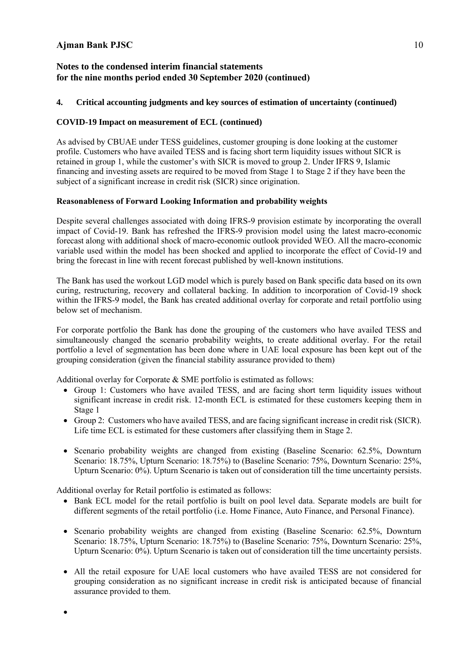### **Notes to the condensed interim financial statements for the nine months period ended 30 September 2020 (continued)**

#### **4. Critical accounting judgments and key sources of estimation of uncertainty (continued)**

#### **COVID-19 Impact on measurement of ECL (continued)**

As advised by CBUAE under TESS guidelines, customer grouping is done looking at the customer profile. Customers who have availed TESS and is facing short term liquidity issues without SICR is retained in group 1, while the customer's with SICR is moved to group 2. Under IFRS 9, Islamic financing and investing assets are required to be moved from Stage 1 to Stage 2 if they have been the subject of a significant increase in credit risk (SICR) since origination.

#### **Reasonableness of Forward Looking Information and probability weights**

Despite several challenges associated with doing IFRS-9 provision estimate by incorporating the overall impact of Covid-19. Bank has refreshed the IFRS-9 provision model using the latest macro-economic forecast along with additional shock of macro-economic outlook provided WEO. All the macro-economic variable used within the model has been shocked and applied to incorporate the effect of Covid-19 and bring the forecast in line with recent forecast published by well-known institutions.

The Bank has used the workout LGD model which is purely based on Bank specific data based on its own curing, restructuring, recovery and collateral backing. In addition to incorporation of Covid-19 shock within the IFRS-9 model, the Bank has created additional overlay for corporate and retail portfolio using below set of mechanism.

For corporate portfolio the Bank has done the grouping of the customers who have availed TESS and simultaneously changed the scenario probability weights, to create additional overlay. For the retail portfolio a level of segmentation has been done where in UAE local exposure has been kept out of the grouping consideration (given the financial stability assurance provided to them)

Additional overlay for Corporate & SME portfolio is estimated as follows:

- Group 1: Customers who have availed TESS, and are facing short term liquidity issues without significant increase in credit risk. 12-month ECL is estimated for these customers keeping them in Stage 1
- Group 2: Customers who have availed TESS, and are facing significant increase in credit risk (SICR). Life time ECL is estimated for these customers after classifying them in Stage 2.
- Scenario probability weights are changed from existing (Baseline Scenario: 62.5%, Downturn Scenario: 18.75%, Upturn Scenario: 18.75%) to (Baseline Scenario: 75%, Downturn Scenario: 25%, Upturn Scenario: 0%). Upturn Scenario is taken out of consideration till the time uncertainty persists.

Additional overlay for Retail portfolio is estimated as follows:

•

- Bank ECL model for the retail portfolio is built on pool level data. Separate models are built for different segments of the retail portfolio (i.e. Home Finance, Auto Finance, and Personal Finance).
- Scenario probability weights are changed from existing (Baseline Scenario: 62.5%, Downturn Scenario: 18.75%, Upturn Scenario: 18.75%) to (Baseline Scenario: 75%, Downturn Scenario: 25%, Upturn Scenario: 0%). Upturn Scenario is taken out of consideration till the time uncertainty persists.
- All the retail exposure for UAE local customers who have availed TESS are not considered for grouping consideration as no significant increase in credit risk is anticipated because of financial assurance provided to them.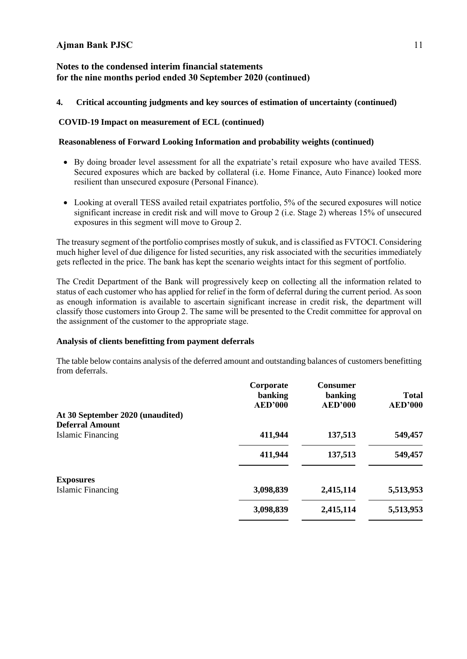### **Notes to the condensed interim financial statements for the nine months period ended 30 September 2020 (continued)**

#### **4. Critical accounting judgments and key sources of estimation of uncertainty (continued)**

#### **COVID-19 Impact on measurement of ECL (continued)**

#### **Reasonableness of Forward Looking Information and probability weights (continued)**

- By doing broader level assessment for all the expatriate's retail exposure who have availed TESS. Secured exposures which are backed by collateral (i.e. Home Finance, Auto Finance) looked more resilient than unsecured exposure (Personal Finance).
- Looking at overall TESS availed retail expatriates portfolio, 5% of the secured exposures will notice significant increase in credit risk and will move to Group 2 (i.e. Stage 2) whereas 15% of unsecured exposures in this segment will move to Group 2.

The treasury segment of the portfolio comprises mostly of sukuk, and is classified as FVTOCI. Considering much higher level of due diligence for listed securities, any risk associated with the securities immediately gets reflected in the price. The bank has kept the scenario weights intact for this segment of portfolio.

The Credit Department of the Bank will progressively keep on collecting all the information related to status of each customer who has applied for relief in the form of deferral during the current period. As soon as enough information is available to ascertain significant increase in credit risk, the department will classify those customers into Group 2. The same will be presented to the Credit committee for approval on the assignment of the customer to the appropriate stage.

#### **Analysis of clients benefitting from payment deferrals**

The table below contains analysis of the deferred amount and outstanding balances of customers benefitting from deferrals.

|                                  | Corporate<br>banking<br><b>AED'000</b> | <b>Consumer</b><br>banking<br><b>AED'000</b> | <b>Total</b><br><b>AED'000</b> |
|----------------------------------|----------------------------------------|----------------------------------------------|--------------------------------|
| At 30 September 2020 (unaudited) |                                        |                                              |                                |
| <b>Deferral Amount</b>           |                                        |                                              |                                |
| Islamic Financing                | 411,944                                | 137,513                                      | 549,457                        |
|                                  | 411,944                                | 137,513                                      | 549,457                        |
| <b>Exposures</b>                 |                                        |                                              |                                |
| <b>Islamic Financing</b>         | 3,098,839                              | 2,415,114                                    | 5,513,953                      |
|                                  | 3,098,839                              | 2,415,114                                    | 5,513,953                      |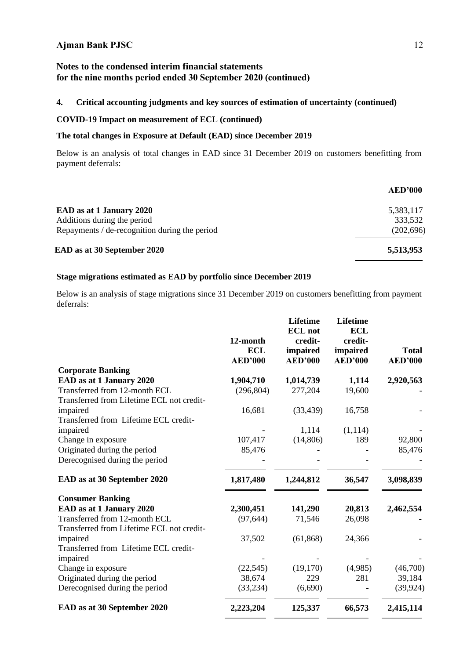### **Notes to the condensed interim financial statements for the nine months period ended 30 September 2020 (continued)**

### **4. Critical accounting judgments and key sources of estimation of uncertainty (continued)**

#### **COVID-19 Impact on measurement of ECL (continued)**

### **The total changes in Exposure at Default (EAD) since December 2019**

Below is an analysis of total changes in EAD since 31 December 2019 on customers benefitting from payment deferrals:

| <b>AED'000</b> |
|----------------|
| 5,383,117      |
| 333,532        |
| (202, 696)     |
| 5,513,953      |
|                |

#### **Stage migrations estimated as EAD by portfolio since December 2019**

Below is an analysis of stage migrations since 31 December 2019 on customers benefitting from payment deferrals:

| <b>Corporate Banking</b>                                                                                      |           |
|---------------------------------------------------------------------------------------------------------------|-----------|
| EAD as at 1 January 2020<br>1,904,710<br>1,014,739<br>1,114                                                   | 2,920,563 |
| Transferred from 12-month ECL<br>(296, 804)<br>277,204<br>19,600<br>Transferred from Lifetime ECL not credit- |           |
| impaired<br>16,681<br>(33, 439)<br>16,758<br>Transferred from Lifetime ECL credit-                            |           |
| impaired<br>(1, 114)<br>1,114                                                                                 |           |
| 107,417<br>(14, 806)<br>189<br>Change in exposure                                                             | 92,800    |
| Originated during the period<br>85,476                                                                        | 85,476    |
| Derecognised during the period                                                                                |           |
| EAD as at 30 September 2020<br>1,817,480<br>1,244,812<br>36,547                                               | 3,098,839 |
| <b>Consumer Banking</b>                                                                                       |           |
| EAD as at 1 January 2020<br>2,300,451<br>141,290<br>20,813                                                    | 2,462,554 |
| Transferred from 12-month ECL<br>(97, 644)<br>71,546<br>26,098<br>Transferred from Lifetime ECL not credit-   |           |
| impaired<br>37,502<br>(61, 868)<br>24,366                                                                     |           |
| Transferred from Lifetime ECL credit-<br>impaired                                                             |           |
| (19,170)<br>(4,985)<br>Change in exposure<br>(22, 545)                                                        | (46,700)  |
| 281<br>Originated during the period<br>38,674<br>229                                                          | 39,184    |
| Derecognised during the period<br>(33, 234)<br>(6,690)                                                        | (39, 924) |
| EAD as at 30 September 2020<br>125,337<br>2,223,204<br>66,573                                                 | 2,415,114 |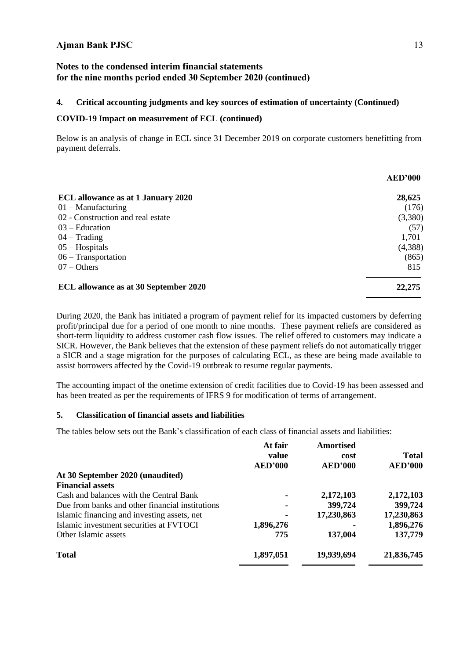### **Notes to the condensed interim financial statements for the nine months period ended 30 September 2020 (continued)**

## **4. Critical accounting judgments and key sources of estimation of uncertainty (Continued)**

#### **COVID-19 Impact on measurement of ECL (continued)**

Below is an analysis of change in ECL since 31 December 2019 on corporate customers benefitting from payment deferrals.

|                                           | <b>AED'000</b> |
|-------------------------------------------|----------------|
| <b>ECL</b> allowance as at 1 January 2020 | 28,625         |
| $01 -$ Manufacturing                      | (176)          |
| 02 - Construction and real estate         | (3,380)        |
| $03 - Education$                          | (57)           |
| $04 - Trading$                            | 1,701          |
| $05 -$ Hospitals                          | (4,388)        |
| $06 - Transportation$                     | (865)          |
| $07 - Others$                             | 815            |
| ECL allowance as at 30 September 2020     | 22,275         |

During 2020, the Bank has initiated a program of payment relief for its impacted customers by deferring profit/principal due for a period of one month to nine months. These payment reliefs are considered as short-term liquidity to address customer cash flow issues. The relief offered to customers may indicate a SICR. However, the Bank believes that the extension of these payment reliefs do not automatically trigger a SICR and a stage migration for the purposes of calculating ECL, as these are being made available to assist borrowers affected by the Covid-19 outbreak to resume regular payments.

The accounting impact of the onetime extension of credit facilities due to Covid-19 has been assessed and has been treated as per the requirements of IFRS 9 for modification of terms of arrangement.

#### **5. Classification of financial assets and liabilities**

The tables below sets out the Bank's classification of each class of financial assets and liabilities:

|                                                 | At fair<br>value<br><b>AED'000</b> | Amortised<br>cost<br><b>AED'000</b> | <b>Total</b><br><b>AED'000</b> |
|-------------------------------------------------|------------------------------------|-------------------------------------|--------------------------------|
| At 30 September 2020 (unaudited)                |                                    |                                     |                                |
| <b>Financial assets</b>                         |                                    |                                     |                                |
| Cash and balances with the Central Bank         |                                    | 2,172,103                           | 2,172,103                      |
| Due from banks and other financial institutions |                                    | 399,724                             | 399,724                        |
| Islamic financing and investing assets, net     |                                    | 17,230,863                          | 17,230,863                     |
| Islamic investment securities at FVTOCI         | 1,896,276                          |                                     | 1,896,276                      |
| Other Islamic assets                            | 775                                | 137,004                             | 137,779                        |
| <b>Total</b>                                    | 1,897,051                          | 19,939,694                          | 21,836,745                     |
|                                                 |                                    |                                     |                                |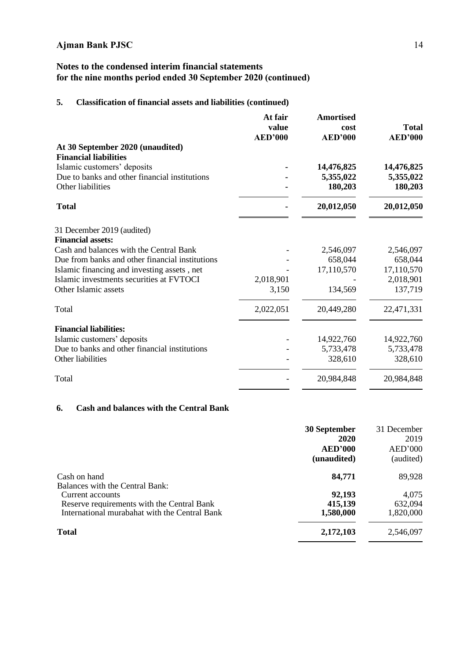## **Notes to the condensed interim financial statements for the nine months period ended 30 September 2020 (continued)**

## **5. Classification of financial assets and liabilities (continued)**

| <b>Amortised</b><br>cost | <b>Total</b><br><b>AED'000</b>                                    |
|--------------------------|-------------------------------------------------------------------|
|                          |                                                                   |
|                          |                                                                   |
|                          | 14,476,825                                                        |
|                          | 5,355,022                                                         |
|                          | 180,203                                                           |
| 20,012,050               | 20,012,050                                                        |
|                          |                                                                   |
|                          |                                                                   |
|                          | 2,546,097                                                         |
| 658,044                  | 658,044                                                           |
| 17,110,570               | 17,110,570                                                        |
|                          | 2,018,901                                                         |
| 134,569                  | 137,719                                                           |
| 20,449,280               | 22,471,331                                                        |
|                          |                                                                   |
| 14,922,760               | 14,922,760                                                        |
| 5,733,478                | 5,733,478                                                         |
| 328,610                  | 328,610                                                           |
| 20,984,848               | 20,984,848                                                        |
|                          | <b>AED'000</b><br>14,476,825<br>5,355,022<br>180,203<br>2,546,097 |

## **6. Cash and balances with the Central Bank**

|                                               | 30 September   | 31 December |
|-----------------------------------------------|----------------|-------------|
|                                               | 2020           | 2019        |
|                                               | <b>AED'000</b> | AED'000     |
|                                               | (unaudited)    | (audited)   |
| Cash on hand                                  | 84,771         | 89,928      |
| Balances with the Central Bank:               |                |             |
| Current accounts                              | 92,193         | 4,075       |
| Reserve requirements with the Central Bank    | 415,139        | 632,094     |
| International murabahat with the Central Bank | 1,580,000      | 1,820,000   |
| <b>Total</b>                                  | 2,172,103      | 2,546,097   |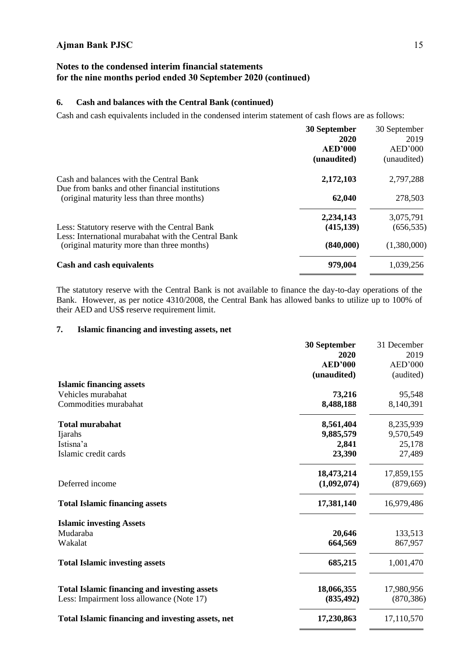### **Notes to the condensed interim financial statements for the nine months period ended 30 September 2020 (continued)**

### **6. Cash and balances with the Central Bank (continued)**

Cash and cash equivalents included in the condensed interim statement of cash flows are as follows:

| 30 September   | 30 September |
|----------------|--------------|
| 2020           | 2019         |
| <b>AED'000</b> | AED'000      |
| (unaudited)    | (unaudited)  |
| 2,172,103      | 2,797,288    |
| 62,040         | 278,503      |
| 2,234,143      | 3,075,791    |
| (415, 139)     | (656, 535)   |
| (840,000)      | (1,380,000)  |
| 979,004        | 1,039,256    |
|                |              |

The statutory reserve with the Central Bank is not available to finance the day-to-day operations of the Bank. However, as per notice 4310/2008, the Central Bank has allowed banks to utilize up to 100% of their AED and US\$ reserve requirement limit.

### **7. Islamic financing and investing assets, net**

|                                                     | 30 September   | 31 December |
|-----------------------------------------------------|----------------|-------------|
|                                                     | 2020           | 2019        |
|                                                     | <b>AED'000</b> | AED'000     |
|                                                     | (unaudited)    | (audited)   |
| <b>Islamic financing assets</b>                     |                |             |
| Vehicles murabahat                                  | 73,216         | 95,548      |
| Commodities murabahat                               | 8,488,188      | 8,140,391   |
| <b>Total murabahat</b>                              | 8,561,404      | 8,235,939   |
| Ijarahs                                             | 9,885,579      | 9,570,549   |
| Istisna'a                                           | 2,841          | 25,178      |
| Islamic credit cards                                | 23,390         | 27,489      |
|                                                     | 18,473,214     | 17,859,155  |
| Deferred income                                     | (1,092,074)    | (879, 669)  |
| <b>Total Islamic financing assets</b>               | 17,381,140     | 16,979,486  |
| <b>Islamic investing Assets</b>                     |                |             |
| Mudaraba                                            | 20,646         | 133,513     |
| Wakalat                                             | 664,569        | 867,957     |
| <b>Total Islamic investing assets</b>               | 685,215        | 1,001,470   |
| <b>Total Islamic financing and investing assets</b> | 18,066,355     | 17,980,956  |
| Less: Impairment loss allowance (Note 17)           | (835, 492)     | (870, 386)  |
| Total Islamic financing and investing assets, net   | 17,230,863     | 17,110,570  |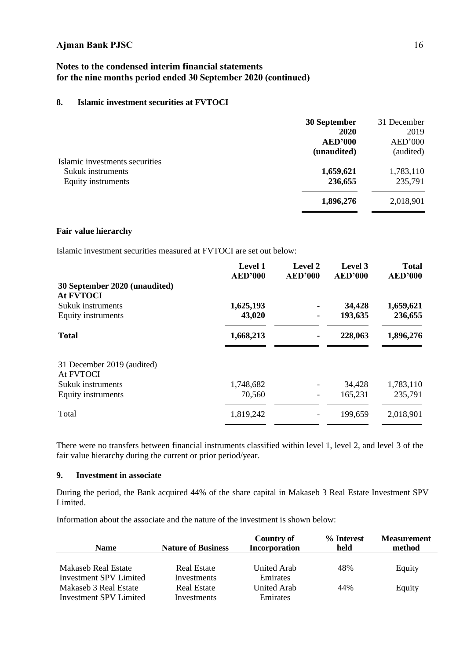### **Notes to the condensed interim financial statements for the nine months period ended 30 September 2020 (continued)**

### **8. Islamic investment securities at FVTOCI**

|                                | 30 September   | 31 December |
|--------------------------------|----------------|-------------|
|                                | 2020           | 2019        |
|                                | <b>AED'000</b> | AED'000     |
|                                | (unaudited)    | (audited)   |
| Islamic investments securities |                |             |
| Sukuk instruments              | 1,659,621      | 1,783,110   |
| Equity instruments             | 236,655        | 235,791     |
|                                | 1,896,276      | 2,018,901   |
|                                |                |             |

#### **Fair value hierarchy**

Islamic investment securities measured at FVTOCI are set out below:

|                                         | <b>Level 1</b><br><b>AED'000</b> | Level 2<br><b>AED'000</b> | Level 3<br><b>AED'000</b> | <b>Total</b><br><b>AED'000</b> |
|-----------------------------------------|----------------------------------|---------------------------|---------------------------|--------------------------------|
| 30 September 2020 (unaudited)           |                                  |                           |                           |                                |
| <b>At FVTOCI</b>                        |                                  |                           |                           |                                |
| Sukuk instruments                       | 1,625,193                        |                           | 34,428                    | 1,659,621                      |
| Equity instruments                      | 43,020                           | $\blacksquare$            | 193,635                   | 236,655                        |
| <b>Total</b>                            | 1,668,213                        |                           | 228,063                   | 1,896,276                      |
| 31 December 2019 (audited)<br>At FVTOCI |                                  |                           |                           |                                |
| Sukuk instruments                       | 1,748,682                        |                           | 34,428                    | 1,783,110                      |
| Equity instruments                      | 70,560                           |                           | 165,231                   | 235,791                        |
| Total                                   | 1,819,242                        |                           | 199,659                   | 2,018,901                      |

There were no transfers between financial instruments classified within level 1, level 2, and level 3 of the fair value hierarchy during the current or prior period/year.

### **9. Investment in associate**

During the period, the Bank acquired 44% of the share capital in Makaseb 3 Real Estate Investment SPV Limited.

Information about the associate and the nature of the investment is shown below:

| <b>Name</b>            | <b>Nature of Business</b> | <b>Country of</b><br><b>Incorporation</b> | % Interest<br>held | <b>Measurement</b><br>method |
|------------------------|---------------------------|-------------------------------------------|--------------------|------------------------------|
| Makaseb Real Estate    | Real Estate               | United Arab                               | 48%                | Equity                       |
| Investment SPV Limited | Investments               | Emirates                                  |                    |                              |
| Makaseb 3 Real Estate  | Real Estate               | United Arab                               | 44%                | Equity                       |
| Investment SPV Limited | Investments               | Emirates                                  |                    |                              |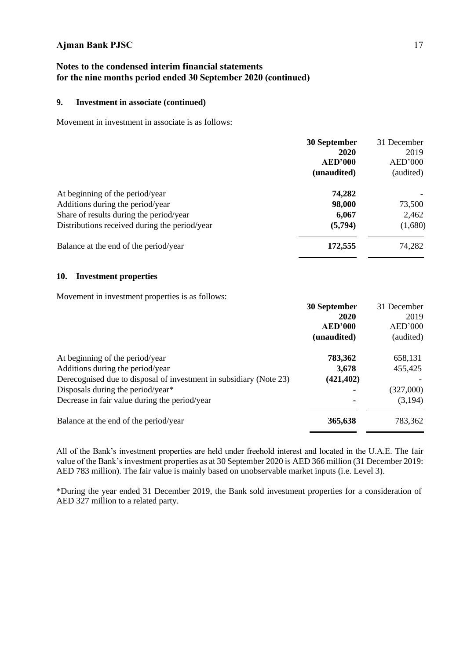### **Notes to the condensed interim financial statements for the nine months period ended 30 September 2020 (continued)**

### **9. Investment in associate (continued)**

Movement in investment in associate is as follows:

|                                               | 30 September<br>2020<br><b>AED'000</b> | 31 December<br>2019<br>AED'000 |
|-----------------------------------------------|----------------------------------------|--------------------------------|
|                                               | (unaudited)                            | (audited)                      |
| At beginning of the period/year               | 74,282                                 |                                |
| Additions during the period/year              | 98,000                                 | 73,500                         |
| Share of results during the period/year       | 6,067                                  | 2,462                          |
| Distributions received during the period/year | (5,794)                                | (1,680)                        |
| Balance at the end of the period/year         | 172,555                                | 74,282                         |

#### **10. Investment properties**

Movement in investment properties is as follows:

|                                                                    | 30 September   | 31 December |
|--------------------------------------------------------------------|----------------|-------------|
|                                                                    | 2020           | 2019        |
|                                                                    | <b>AED'000</b> | AED'000     |
|                                                                    | (unaudited)    | (audited)   |
| At beginning of the period/year                                    | 783,362        | 658,131     |
| Additions during the period/year                                   | 3,678          | 455,425     |
| Derecognised due to disposal of investment in subsidiary (Note 23) | (421, 402)     |             |
| Disposals during the period/year*                                  | ۰              | (327,000)   |
| Decrease in fair value during the period/year                      | ٠              | (3,194)     |
| Balance at the end of the period/year                              | 365,638        | 783,362     |

All of the Bank's investment properties are held under freehold interest and located in the U.A.E. The fair value of the Bank's investment properties as at 30 September 2020 is AED 366 million (31 December 2019: AED 783 million). The fair value is mainly based on unobservable market inputs (i.e. Level 3).

\*During the year ended 31 December 2019, the Bank sold investment properties for a consideration of AED 327 million to a related party.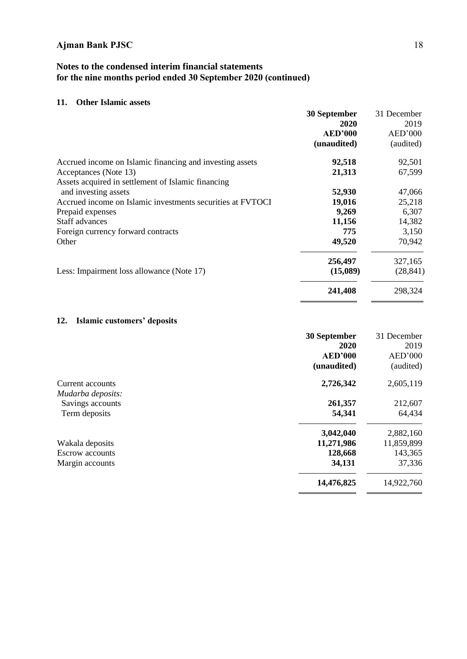## **Notes to the condensed interim financial statements for the nine months period ended 30 September 2020 (continued)**

### **11. Other Islamic assets**

|                                                            | 30 September   | 31 December |
|------------------------------------------------------------|----------------|-------------|
|                                                            | 2020           | 2019        |
|                                                            | <b>AED'000</b> | AED'000     |
|                                                            | (unaudited)    | (audited)   |
| Accrued income on Islamic financing and investing assets   | 92,518         | 92,501      |
| Acceptances (Note 13)                                      | 21,313         | 67,599      |
| Assets acquired in settlement of Islamic financing         |                |             |
| and investing assets                                       | 52,930         | 47,066      |
| Accrued income on Islamic investments securities at FVTOCI | 19,016         | 25,218      |
| Prepaid expenses                                           | 9,269          | 6,307       |
| Staff advances                                             | 11,156         | 14,382      |
| Foreign currency forward contracts                         | 775            | 3,150       |
| Other                                                      | 49,520         | 70,942      |
|                                                            | 256,497        | 327,165     |
| Less: Impairment loss allowance (Note 17)                  | (15,089)       | (28, 841)   |
|                                                            | 241,408        | 298,324     |

## **12. Islamic customers' deposits**

|                        | <b>30 September</b> | 31 December |
|------------------------|---------------------|-------------|
|                        | 2020                | 2019        |
|                        | <b>AED'000</b>      | AED'000     |
|                        | (unaudited)         | (audited)   |
| Current accounts       | 2,726,342           | 2,605,119   |
| Mudarba deposits:      |                     |             |
| Savings accounts       | 261,357             | 212,607     |
| Term deposits          | 54,341              | 64,434      |
|                        | 3,042,040           | 2,882,160   |
| Wakala deposits        | 11,271,986          | 11,859,899  |
| <b>Escrow</b> accounts | 128,668             | 143,365     |
| Margin accounts        | 34,131              | 37,336      |
|                        | 14,476,825          | 14,922,760  |
|                        |                     |             |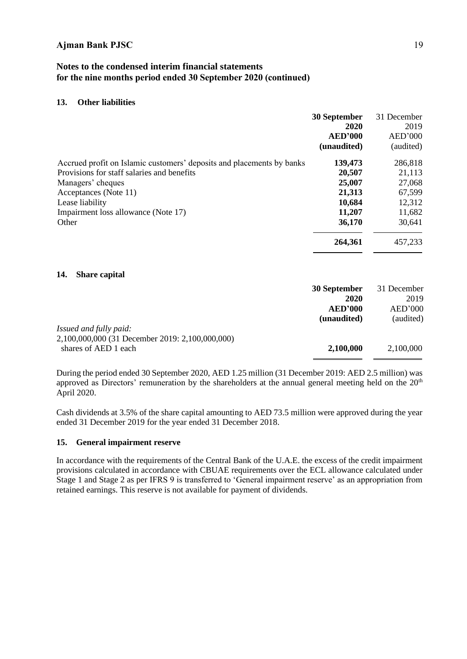### **Notes to the condensed interim financial statements for the nine months period ended 30 September 2020 (continued)**

#### **13. Other liabilities**

|                                                                       | 30 September<br>2020<br><b>AED'000</b><br>(unaudited) | 31 December<br>2019<br>AED'000<br>(audited) |
|-----------------------------------------------------------------------|-------------------------------------------------------|---------------------------------------------|
| Accrued profit on Islamic customers' deposits and placements by banks | 139,473                                               | 286,818                                     |
| Provisions for staff salaries and benefits                            | 20,507                                                | 21,113                                      |
| Managers' cheques                                                     | 25,007                                                | 27,068                                      |
| Acceptances (Note 11)                                                 | 21,313                                                | 67,599                                      |
| Lease liability                                                       | 10,684                                                | 12,312                                      |
| Impairment loss allowance (Note 17)                                   | 11,207                                                | 11,682                                      |
| Other                                                                 | 36,170                                                | 30,641                                      |
|                                                                       | 264,361                                               | 457,233                                     |
|                                                                       |                                                       |                                             |

#### **14. Share capital**

|                                                                         | 30 September   | 31 December |
|-------------------------------------------------------------------------|----------------|-------------|
|                                                                         | 2020           | 2019        |
|                                                                         | <b>AED'000</b> | AED'000     |
|                                                                         | (unaudited)    | (audited)   |
| Issued and fully paid:                                                  |                |             |
| 2,100,000,000 (31 December 2019: 2,100,000,000)<br>shares of AED 1 each | 2,100,000      | 2,100,000   |

During the period ended 30 September 2020, AED 1.25 million (31 December 2019: AED 2.5 million) was approved as Directors' remuneration by the shareholders at the annual general meeting held on the 20<sup>th</sup> April 2020.

Cash dividends at 3.5% of the share capital amounting to AED 73.5 million were approved during the year ended 31 December 2019 for the year ended 31 December 2018.

#### **15. General impairment reserve**

In accordance with the requirements of the Central Bank of the U.A.E. the excess of the credit impairment provisions calculated in accordance with CBUAE requirements over the ECL allowance calculated under Stage 1 and Stage 2 as per IFRS 9 is transferred to 'General impairment reserve' as an appropriation from retained earnings. This reserve is not available for payment of dividends.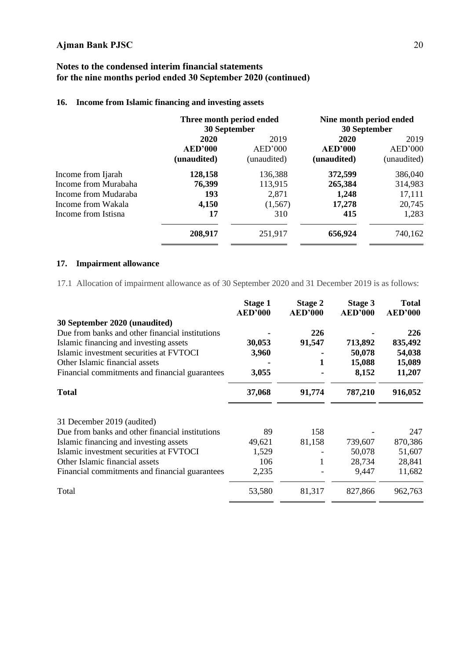### **Notes to the condensed interim financial statements for the nine months period ended 30 September 2020 (continued)**

#### **16. Income from Islamic financing and investing assets**

|                      | Three month period ended<br>30 September |             |                | Nine month period ended<br>30 September |  |
|----------------------|------------------------------------------|-------------|----------------|-----------------------------------------|--|
|                      | 2020                                     | 2019        | 2020           | 2019                                    |  |
|                      | <b>AED'000</b>                           | AED'000     | <b>AED'000</b> | AED'000                                 |  |
|                      | (unaudited)                              | (unaudited) | (unaudited)    | (unaudited)                             |  |
| Income from Ijarah   | 128,158                                  | 136,388     | 372,599        | 386,040                                 |  |
| Income from Murabaha | 76,399                                   | 113,915     | 265,384        | 314,983                                 |  |
| Income from Mudaraba | 193                                      | 2,871       | 1,248          | 17,111                                  |  |
| Income from Wakala   | 4,150                                    | (1, 567)    | 17,278         | 20,745                                  |  |
| Income from Istisna  | 17                                       | 310         | 415            | 1,283                                   |  |
|                      | 208,917                                  | 251,917     | 656,924        | 740,162                                 |  |

### **17. Impairment allowance**

17.1 Allocation of impairment allowance as of 30 September 2020 and 31 December 2019 is as follows:

|                                                 | Stage 1<br><b>AED'000</b> | Stage 2<br><b>AED'000</b> | Stage 3<br><b>AED'000</b> | <b>Total</b><br><b>AED'000</b> |
|-------------------------------------------------|---------------------------|---------------------------|---------------------------|--------------------------------|
| 30 September 2020 (unaudited)                   |                           |                           |                           |                                |
| Due from banks and other financial institutions |                           | 226                       |                           | 226                            |
| Islamic financing and investing assets          | 30,053                    | 91,547                    | 713,892                   | 835,492                        |
| Islamic investment securities at FVTOCI         | 3,960                     |                           | 50,078                    | 54,038                         |
| Other Islamic financial assets                  |                           | 1                         | 15,088                    | 15,089                         |
| Financial commitments and financial guarantees  | 3,055                     |                           | 8,152                     | 11,207                         |
| <b>Total</b>                                    | 37,068                    | 91,774                    | 787,210                   | 916,052                        |
| 31 December 2019 (audited)                      |                           |                           |                           |                                |
| Due from banks and other financial institutions | 89                        | 158                       |                           | 247                            |
| Islamic financing and investing assets          | 49,621                    | 81,158                    | 739,607                   | 870,386                        |
| Islamic investment securities at FVTOCI         | 1,529                     |                           | 50,078                    | 51,607                         |
| Other Islamic financial assets                  | 106                       | 1                         | 28,734                    | 28,841                         |
| Financial commitments and financial guarantees  | 2,235                     |                           | 9,447                     | 11,682                         |
| Total                                           | 53,580                    | 81,317                    | 827,866                   | 962,763                        |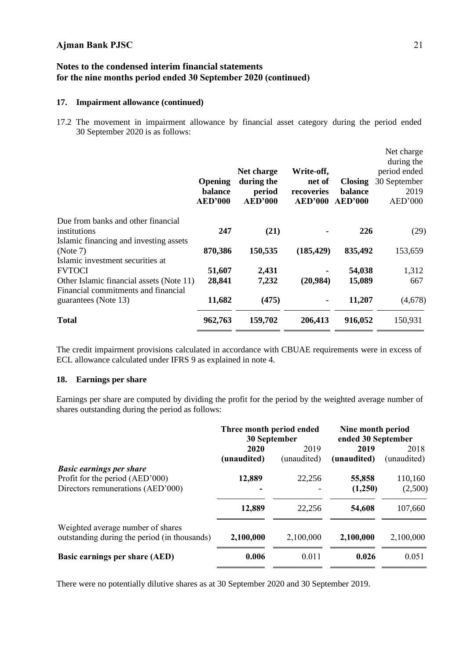### **Notes to the condensed interim financial statements for the nine months period ended 30 September 2020 (continued)**

#### **17. Impairment allowance (continued)**

17.2 The movement in impairment allowance by financial asset category during the period ended 30 September 2020 is as follows:

|                                          | Opening<br>balance<br><b>AED'000</b> | Net charge<br>during the<br>period<br><b>AED'000</b> | Write-off,<br>net of<br>recoveries<br><b>AED'000</b> | <b>Closing</b><br>balance<br><b>AED'000</b> | Net charge<br>during the<br>period ended<br>30 September<br>2019<br>AED'000 |
|------------------------------------------|--------------------------------------|------------------------------------------------------|------------------------------------------------------|---------------------------------------------|-----------------------------------------------------------------------------|
| Due from banks and other financial       |                                      |                                                      |                                                      |                                             |                                                                             |
| institutions                             | 247                                  | (21)                                                 |                                                      | 226                                         | (29)                                                                        |
| Islamic financing and investing assets   |                                      |                                                      |                                                      |                                             |                                                                             |
| (Note 7)                                 | 870,386                              | 150,535                                              | (185, 429)                                           | 835,492                                     | 153,659                                                                     |
| Islamic investment securities at         |                                      |                                                      |                                                      |                                             |                                                                             |
| <b>FVTOCI</b>                            | 51,607                               | 2,431                                                |                                                      | 54,038                                      | 1,312                                                                       |
| Other Islamic financial assets (Note 11) | 28,841                               | 7,232                                                | (20,984)                                             | 15,089                                      | 667                                                                         |
| Financial commitments and financial      |                                      |                                                      |                                                      |                                             |                                                                             |
| guarantees (Note 13)                     | 11,682                               | (475)                                                |                                                      | 11,207                                      | (4,678)                                                                     |
| <b>Total</b>                             | 962,763                              | 159,702                                              | 206,413                                              | 916,052                                     | 150,931                                                                     |

The credit impairment provisions calculated in accordance with CBUAE requirements were in excess of ECL allowance calculated under IFRS 9 as explained in note 4.

#### **18. Earnings per share**

Earnings per share are computed by dividing the profit for the period by the weighted average number of shares outstanding during the period as follows:

|                                                                                                         | Three month period ended<br>30 September |             | Nine month period<br>ended 30 September |                    |
|---------------------------------------------------------------------------------------------------------|------------------------------------------|-------------|-----------------------------------------|--------------------|
|                                                                                                         | 2020                                     | 2019        | 2019                                    | 2018               |
|                                                                                                         | (unaudited)                              | (unaudited) | (unaudited)                             | (unaudited)        |
| <b>Basic earnings per share</b><br>Profit for the period (AED'000)<br>Directors remunerations (AED'000) | 12,889                                   | 22,256      | 55,858<br>(1,250)                       | 110,160<br>(2,500) |
|                                                                                                         | 12,889                                   | 22,256      | 54,608                                  | 107,660            |
| Weighted average number of shares<br>outstanding during the period (in thousands)                       | 2,100,000                                | 2,100,000   | 2,100,000                               | 2,100,000          |
| Basic earnings per share (AED)                                                                          | 0.006                                    | 0.011       | 0.026                                   | 0.051              |

There were no potentially dilutive shares as at 30 September 2020 and 30 September 2019.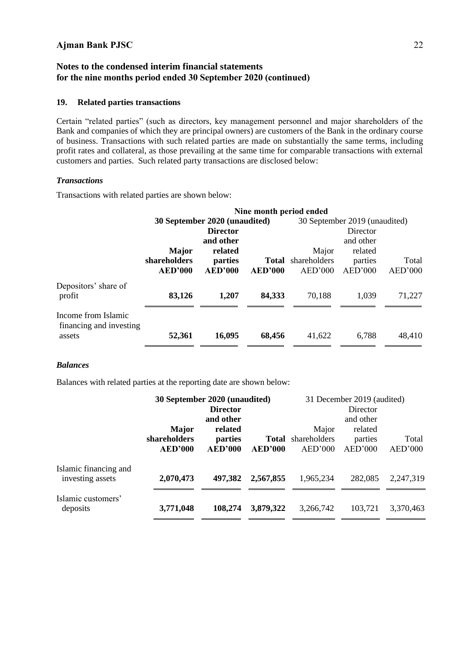### **Notes to the condensed interim financial statements for the nine months period ended 30 September 2020 (continued)**

#### **19. Related parties transactions**

Certain "related parties" (such as directors, key management personnel and major shareholders of the Bank and companies of which they are principal owners) are customers of the Bank in the ordinary course of business. Transactions with such related parties are made on substantially the same terms, including profit rates and collateral, as those prevailing at the same time for comparable transactions with external customers and parties. Such related party transactions are disclosed below:

#### *Transactions*

Transactions with related parties are shown below:

|              | 30 September 2020 (unaudited)<br><b>Director</b><br>and other |         |              | 30 September 2019 (unaudited) |         |
|--------------|---------------------------------------------------------------|---------|--------------|-------------------------------|---------|
|              |                                                               |         |              |                               |         |
|              |                                                               |         |              | Director                      |         |
|              |                                                               |         |              | and other                     |         |
| <b>Major</b> | related                                                       |         | Major        | related                       |         |
|              | parties                                                       | Total   | shareholders | parties                       | Total   |
|              | <b>AED'000</b>                                                | AED'000 | AED'000      | AED'000                       | AED'000 |
| 83,126       | 1,207                                                         | 84,333  | 70,188       | 1,039                         | 71,227  |
|              |                                                               |         |              |                               | 48,410  |
|              | shareholders<br><b>AED'000</b><br>52,361                      | 16,095  | 68,456       | 41,622                        | 6,788   |

#### *Balances*

Balances with related parties at the reporting date are shown below:

| 30 September 2020 (unaudited) |                 | 31 December 2019 (audited) |           |                                        |           |
|-------------------------------|-----------------|----------------------------|-----------|----------------------------------------|-----------|
|                               | <b>Director</b> |                            |           | Director                               |           |
|                               | and other       |                            |           | and other                              |           |
| <b>Major</b>                  | related         |                            | Major     | related                                |           |
| shareholders                  | parties         |                            |           | parties                                | Total     |
| <b>AED'000</b>                | <b>AED'000</b>  | <b>AED'000</b>             | AED'000   | AED'000                                | AED'000   |
|                               |                 |                            |           |                                        | 2,247,319 |
|                               |                 |                            |           |                                        |           |
| 3,771,048                     | 108,274         | 3,879,322                  | 3,266,742 | 103,721                                | 3,370,463 |
|                               | 2,070,473       | 497,382                    | 2,567,855 | <b>Total</b> shareholders<br>1,965,234 | 282,085   |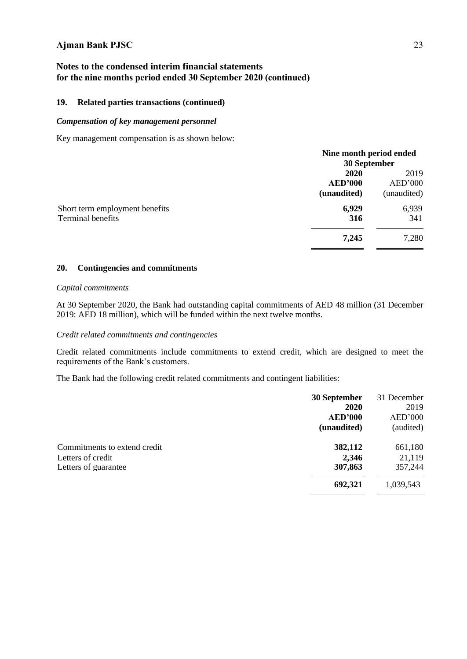### **Notes to the condensed interim financial statements for the nine months period ended 30 September 2020 (continued)**

#### **19. Related parties transactions (continued)**

#### *Compensation of key management personnel*

Key management compensation is as shown below:

|                                                     | Nine month period ended<br>30 September      |                                |  |
|-----------------------------------------------------|----------------------------------------------|--------------------------------|--|
|                                                     | <b>2020</b><br><b>AED'000</b><br>(unaudited) | 2019<br>AED'000<br>(unaudited) |  |
| Short term employment benefits<br>Terminal benefits | 6,929<br>316                                 | 6,939<br>341                   |  |
|                                                     | 7,245                                        | 7,280                          |  |

#### **20. Contingencies and commitments**

#### *Capital commitments*

At 30 September 2020, the Bank had outstanding capital commitments of AED 48 million (31 December 2019: AED 18 million), which will be funded within the next twelve months.

#### *Credit related commitments and contingencies*

Credit related commitments include commitments to extend credit, which are designed to meet the requirements of the Bank's customers.

The Bank had the following credit related commitments and contingent liabilities:

|                                                                           | 30 September<br>2020<br><b>AED'000</b><br>(unaudited) | 31 December<br>2019<br>AED'000<br>(audited) |
|---------------------------------------------------------------------------|-------------------------------------------------------|---------------------------------------------|
| Commitments to extend credit<br>Letters of credit<br>Letters of guarantee | 382,112<br>2,346<br>307,863                           | 661,180<br>21,119<br>357,244                |
|                                                                           | 692,321                                               | 1,039,543                                   |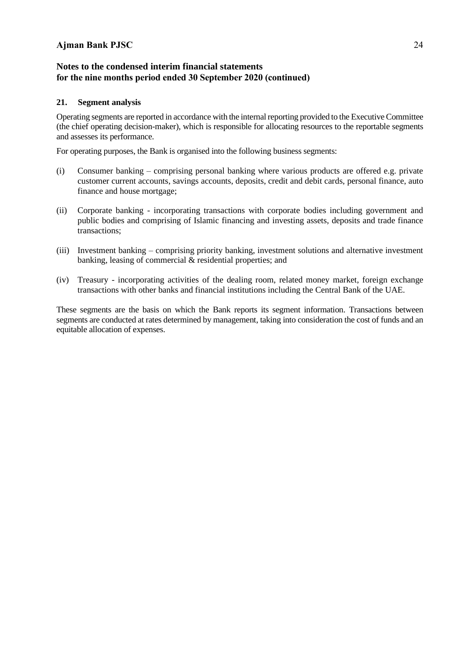### **Notes to the condensed interim financial statements for the nine months period ended 30 September 2020 (continued)**

#### **21. Segment analysis**

Operating segments are reported in accordance with the internal reporting provided to the Executive Committee (the chief operating decision-maker), which is responsible for allocating resources to the reportable segments and assesses its performance.

For operating purposes, the Bank is organised into the following business segments:

- (i) Consumer banking comprising personal banking where various products are offered e.g. private customer current accounts, savings accounts, deposits, credit and debit cards, personal finance, auto finance and house mortgage;
- (ii) Corporate banking incorporating transactions with corporate bodies including government and public bodies and comprising of Islamic financing and investing assets, deposits and trade finance transactions;
- (iii) Investment banking comprising priority banking, investment solutions and alternative investment banking, leasing of commercial & residential properties; and
- (iv) Treasury incorporating activities of the dealing room, related money market, foreign exchange transactions with other banks and financial institutions including the Central Bank of the UAE.

These segments are the basis on which the Bank reports its segment information. Transactions between segments are conducted at rates determined by management, taking into consideration the cost of funds and an equitable allocation of expenses.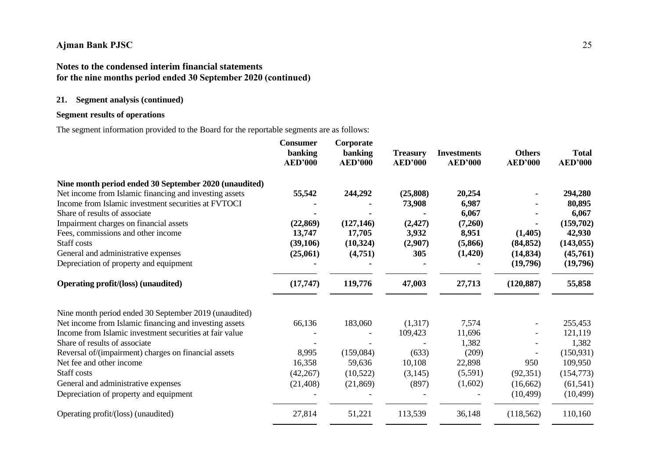## **Notes to the condensed interim financial statements for the nine months period ended 30 September 2020 (continued)**

### **21. Segment analysis (continued)**

### **Segment results of operations**

The segment information provided to the Board for the reportable segments are as follows:

|                                                         | <b>Consumer</b><br>banking<br><b>AED'000</b> | Corporate<br>banking<br><b>AED'000</b> | <b>Treasury</b><br><b>AED'000</b> | <b>Investments</b><br><b>AED'000</b> | <b>Others</b><br><b>AED'000</b> | <b>Total</b><br><b>AED'000</b> |
|---------------------------------------------------------|----------------------------------------------|----------------------------------------|-----------------------------------|--------------------------------------|---------------------------------|--------------------------------|
| Nine month period ended 30 September 2020 (unaudited)   |                                              |                                        |                                   |                                      |                                 |                                |
| Net income from Islamic financing and investing assets  | 55,542                                       | 244,292                                | (25,808)                          | 20,254                               |                                 | 294,280                        |
| Income from Islamic investment securities at FVTOCI     |                                              |                                        | 73,908                            | 6,987                                |                                 | 80,895                         |
| Share of results of associate                           |                                              |                                        |                                   | 6,067                                |                                 | 6,067                          |
| Impairment charges on financial assets                  | (22, 869)                                    | (127, 146)                             | (2, 427)                          | (7,260)                              |                                 | (159,702)                      |
| Fees, commissions and other income                      | 13,747                                       | 17,705                                 | 3,932                             | 8,951                                | (1,405)                         | 42,930                         |
| Staff costs                                             | (39,106)                                     | (10, 324)                              | (2,907)                           | (5,866)                              | (84, 852)                       | (143, 055)                     |
| General and administrative expenses                     | (25,061)                                     | (4,751)                                | 305                               | (1,420)                              | (14, 834)                       | (45,761)                       |
| Depreciation of property and equipment                  |                                              |                                        |                                   |                                      | (19,796)                        | (19,796)                       |
| <b>Operating profit/(loss) (unaudited)</b>              | (17, 747)                                    | 119,776                                | 47,003                            | 27,713                               | (120, 887)                      | 55,858                         |
| Nine month period ended 30 September 2019 (unaudited)   |                                              |                                        |                                   |                                      |                                 |                                |
| Net income from Islamic financing and investing assets  | 66,136                                       | 183,060                                | (1,317)                           | 7,574                                |                                 | 255,453                        |
| Income from Islamic investment securities at fair value |                                              |                                        | 109,423                           | 11,696                               |                                 | 121,119                        |
| Share of results of associate                           |                                              |                                        |                                   | 1,382                                |                                 | 1,382                          |
| Reversal of/(impairment) charges on financial assets    | 8,995                                        | (159,084)                              | (633)                             | (209)                                |                                 | (150, 931)                     |
| Net fee and other income                                | 16,358                                       | 59,636                                 | 10,108                            | 22,898                               | 950                             | 109,950                        |
| Staff costs                                             | (42, 267)                                    | (10,522)                               | (3, 145)                          | (5,591)                              | (92, 351)                       | (154, 773)                     |
| General and administrative expenses                     | (21, 408)                                    | (21, 869)                              | (897)                             | (1,602)                              | (16, 662)                       | (61, 541)                      |
| Depreciation of property and equipment                  |                                              |                                        |                                   |                                      | (10, 499)                       | (10, 499)                      |
| Operating profit/(loss) (unaudited)                     | 27,814                                       | 51,221                                 | 113,539                           | 36,148                               | (118, 562)                      | 110,160                        |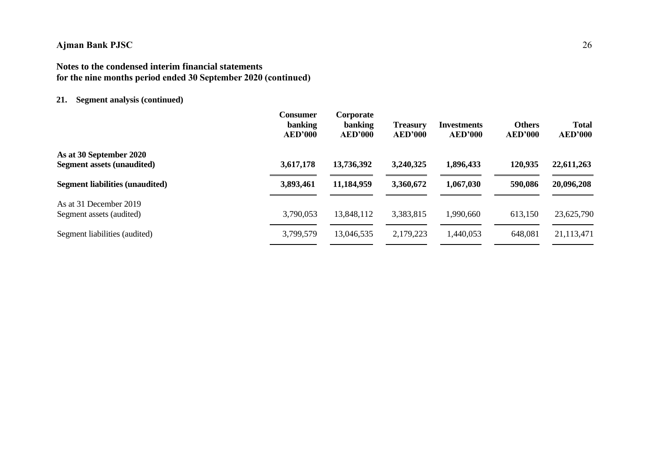## **Notes to the condensed interim financial statements for the nine months period ended 30 September 2020 (continued)**

### **21. Segment analysis (continued)**

|                                                              | <b>Consumer</b><br><b>banking</b><br><b>AED'000</b> | Corporate<br><b>banking</b><br><b>AED'000</b> | <b>Treasury</b><br>AED'000 | <b>Investments</b><br><b>AED'000</b> | <b>Others</b><br><b>AED'000</b> | <b>Total</b><br><b>AED'000</b> |
|--------------------------------------------------------------|-----------------------------------------------------|-----------------------------------------------|----------------------------|--------------------------------------|---------------------------------|--------------------------------|
| As at 30 September 2020<br><b>Segment assets (unaudited)</b> | 3,617,178                                           | 13,736,392                                    | 3,240,325                  | 1,896,433                            | 120,935                         | 22,611,263                     |
| <b>Segment liabilities (unaudited)</b>                       | 3,893,461                                           | 11,184,959                                    | 3,360,672                  | 1,067,030                            | 590,086                         | 20,096,208                     |
| As at 31 December 2019<br>Segment assets (audited)           | 3,790,053                                           | 13,848,112                                    | 3,383,815                  | 1,990,660                            | 613,150                         | 23,625,790                     |
| Segment liabilities (audited)                                | 3,799,579                                           | 13,046,535                                    | 2,179,223                  | 440,053                              | 648,081                         | 21,113,471                     |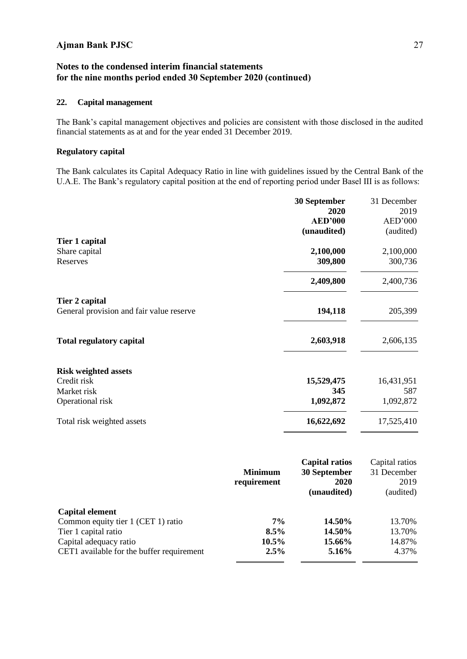### **Notes to the condensed interim financial statements for the nine months period ended 30 September 2020 (continued)**

### **22. Capital management**

The Bank's capital management objectives and policies are consistent with those disclosed in the audited financial statements as at and for the year ended 31 December 2019.

#### **Regulatory capital**

The Bank calculates its Capital Adequacy Ratio in line with guidelines issued by the Central Bank of the U.A.E. The Bank's regulatory capital position at the end of reporting period under Basel III is as follows:

|                                          | 30 September          | 31 December    |
|------------------------------------------|-----------------------|----------------|
|                                          | 2020                  | 2019           |
|                                          | <b>AED'000</b>        | AED'000        |
|                                          | (unaudited)           | (audited)      |
| Tier 1 capital                           |                       |                |
| Share capital                            | 2,100,000             | 2,100,000      |
| Reserves                                 | 309,800               | 300,736        |
|                                          | 2,409,800             | 2,400,736      |
| Tier 2 capital                           |                       |                |
| General provision and fair value reserve | 194,118               | 205,399        |
| <b>Total regulatory capital</b>          | 2,603,918             | 2,606,135      |
| <b>Risk weighted assets</b>              |                       |                |
| Credit risk                              | 15,529,475            | 16,431,951     |
| Market risk                              | 345                   | 587            |
| Operational risk                         | 1,092,872             | 1,092,872      |
| Total risk weighted assets               | 16,622,692            | 17,525,410     |
|                                          | <b>Capital ratios</b> | Capital ratios |

| 30 September<br>31 December<br>2020<br>2019 |
|---------------------------------------------|
|                                             |
|                                             |
| (unaudited)<br>(audited)                    |
|                                             |
| 14.50%<br>13.70%                            |
| 14.50%<br>13.70%                            |
| 14.87%<br>15.66%                            |
| 4.37%<br>$5.16\%$                           |
|                                             |